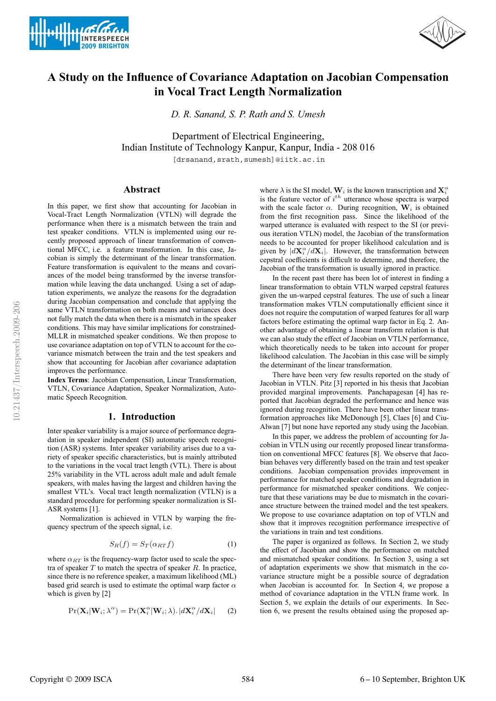



# **A Study on the Influence of Covariance Adaptation on Jacobian Compensation in Vocal Tract Length Normalization**

*D. R. Sanand, S. P. Rath and S. Umesh*

Department of Electrical Engineering, Indian Institute of Technology Kanpur, Kanpur, India - 208 016

[drsanand, srath, sumesh]@iitk.ac.in

# **Abstract**

In this paper, we first show that accounting for Jacobian in Vocal-Tract Length Normalization (VTLN) will degrade the performance when there is a mismatch between the train and test speaker conditions. VTLN is implemented using our recently proposed approach of linear transformation of conventional MFCC, i.e. a feature transformation. In this case, Jacobian is simply the determinant of the linear transformation. Feature transformation is equivalent to the means and covariances of the model being transformed by the inverse transformation while leaving the data unchanged. Using a set of adaptation experiments, we analyze the reasons for the degradation during Jacobian compensation and conclude that applying the same VTLN transformation on both means and variances does not fully match the data when there is a mismatch in the speaker conditions. This may have similar implications for constrained-MLLR in mismatched speaker conditions. We then propose to use covariance adaptation on top of VTLN to account for the covariance mismatch between the train and the test speakers and show that accounting for Jacobian after covariance adaptation improves the performance.

**Index Terms**: Jacobian Compensation, Linear Transformation, VTLN, Covariance Adaptation, Speaker Normalization, Automatic Speech Recognition.

# **1. Introduction**

Inter speaker variability is a major source of performance degradation in speaker independent (SI) automatic speech recognition (ASR) systems. Inter speaker variability arises due to a variety of speaker specific characteristics, but is mainly attributed to the variations in the vocal tract length (VTL). There is about 25% variability in the VTL across adult male and adult female speakers, with males having the largest and children having the smallest VTL's. Vocal tract length normalization (VTLN) is a standard procedure for performing speaker normalization is SI-ASR systems [1].

Normalization is achieved in VTLN by warping the frequency spectrum of the speech signal, i.e.

$$
S_R(f) = S_T(\alpha_{RT} f) \tag{1}
$$

where  $\alpha_{RT}$  is the frequency-warp factor used to scale the spectra of speaker  $T$  to match the spectra of speaker  $R$ . In practice, since there is no reference speaker, a maximum likelihood (ML) based grid search is used to estimate the optimal warp factor  $\alpha$ which is given by [2]

$$
Pr(\mathbf{X}_{i}|\mathbf{W}_{i};\lambda^{\alpha})=Pr(\mathbf{X}_{i}^{\alpha}|\mathbf{W}_{i};\lambda).|d\mathbf{X}_{i}^{\alpha}/d\mathbf{X}_{i}|
$$
 (2)

where  $\lambda$  is the SI model,  $\mathbf{W}_i$  is the known transcription and  $\mathbf{X}_i^{\alpha}$ is the feature vector of  $i^{th}$  utterance whose spectra is warped with the scale factor  $\alpha$ . During recognition,  $\mathbf{W}_i$  is obtained from the first recognition pass. Since the likelihood of the warped utterance is evaluated with respect to the SI (or previous iteration VTLN) model, the Jacobian of the transformation needs to be accounted for proper likelihood calculation and is given by  $|d\mathbf{X}_i^{\alpha}/d\mathbf{X}_i|$ . However, the transformation between cepstral coefficients is difficult to determine, and therefore, the Jacobian of the transformation is usually ignored in practice.

In the recent past there has been lot of interest in finding a linear transformation to obtain VTLN warped cepstral features given the un-warped cepstral features. The use of such a linear transformation makes VTLN computationally efficient since it does not require the computation of warped features for all warp factors before estimating the optimal warp factor in Eq. 2. Another advantage of obtaining a linear transform relation is that we can also study the effect of Jacobian on VTLN performance, which theoretically needs to be taken into account for proper likelihood calculation. The Jacobian in this case will be simply the determinant of the linear transformation.

There have been very few results reported on the study of Jacobian in VTLN. Pitz [3] reported in his thesis that Jacobian provided marginal improvements. Panchapagesan [4] has reported that Jacobian degraded the performance and hence was ignored during recognition. There have been other linear transformation approaches like McDonough [5], Claes [6] and Ciu-Alwan [7] but none have reported any study using the Jacobian.

In this paper, we address the problem of accounting for Jacobian in VTLN using our recently proposed linear transformation on conventional MFCC features [8]. We observe that Jacobian behaves very differently based on the train and test speaker conditions. Jacobian compensation provides improvement in performance for matched speaker conditions and degradation in performance for mismatched speaker conditions. We conjecture that these variations may be due to mismatch in the covariance structure between the trained model and the test speakers. We propose to use covariance adaptation on top of VTLN and show that it improves recognition performance irrespective of the variations in train and test conditions.

The paper is organized as follows. In Section 2, we study the effect of Jacobian and show the performance on matched and mismatched speaker conditions. In Section 3, using a set of adaptation experiments we show that mismatch in the covariance structure might be a possible source of degradation when Jacobian is accounted for. In Section 4, we propose a method of covariance adaptation in the VTLN frame work. In Section 5, we explain the details of our experiments. In Section 6, we present the results obtained using the proposed ap-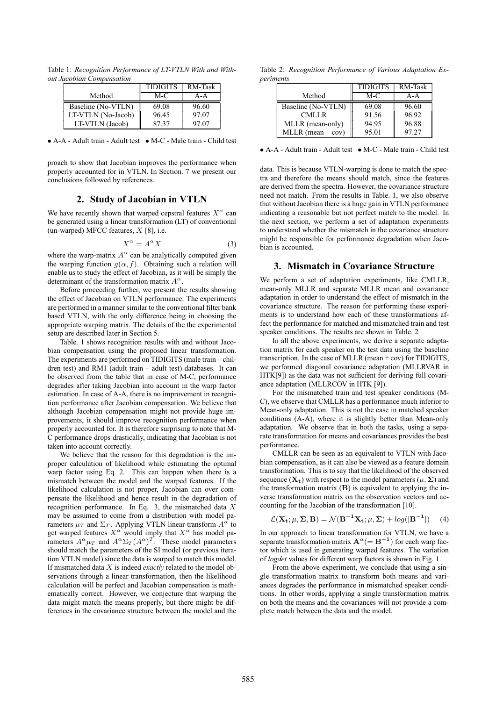Table 1: *Recognition Performance of LT-VTLN With and Without Jacobian Compensation*

|                    | <b>TIDIGITS</b> | RM-Task |
|--------------------|-----------------|---------|
| Method             | M-C             | A-A     |
| Baseline (No-VTLN) | 69.08           | 96.60   |
| LT-VTLN (No-Jacob) | 96.45           | 97.07   |
| LT-VTLN (Jacob)    | 8737            | 97.07   |

• A-A - Adult train - Adult test • M-C - Male train - Child test

proach to show that Jacobian improves the performance when properly accounted for in VTLN. In Section. 7 we present our conclusions followed by references.

# **2. Study of Jacobian in VTLN**

We have recently shown that warped cepstral features  $X^{\alpha}$  can be generated using a linear transformation (LT) of conventional (un-warped) MFCC features,  $X$  [8], i.e.

$$
X^{\alpha} = A^{\alpha} X \tag{3}
$$

where the warp-matrix  $A^{\alpha}$  can be analytically computed given the warping function  $q(\alpha, f)$ . Obtaining such a relation will enable us to study the effect of Jacobian, as it will be simply the determinant of the transformation matrix  $A^{\alpha}$ .

Before proceeding further, we present the results showing the effect of Jacobian on VTLN performance. The experiments are performed in a manner similar to the conventional filter bank based VTLN, with the only difference being in choosing the appropriate warping matrix. The details of the the experimental setup are described later in Section 5.

Table. 1 shows recognition results with and without Jacobian compensation using the proposed linear transformation. The experiments are performed on TIDIGITS (male train – children test) and RM1 (adult train – adult test) databases. It can be observed from the table that in case of M-C, performance degrades after taking Jacobian into account in the warp factor estimation. In case of A-A, there is no improvement in recognition performance after Jacobian compensation. We believe that although Jacobian compensation might not provide huge improvements, it should improve recognition performance when properly accounted for. It is therefore surprising to note that M-C performance drops drastically, indicating that Jacobian is not taken into account correctly.

We believe that the reason for this degradation is the improper calculation of likelihood while estimating the optimal warp factor using Eq. 2. This can happen when there is a mismatch between the model and the warped features. If the likelihood calculation is not proper, Jacobian can over compensate the likelihood and hence result in the degradation of recognition performance. In Eq. 3, the mismatched data X may be assumed to come from a distribution with model parameters  $\mu_T$  and  $\Sigma_T$ . Applying VTLN linear transform  $A^{\alpha}$  to get warped features  $X^{\alpha}$  would imply that  $X^{\alpha}$  has model parameters  $A^{\alpha} \mu_T$  and  $A^{\alpha} \Sigma_T (A^{\alpha})^T$ . These model parameters should match the parameters of the SI model (or previous iteration VTLN model) since the data is warped to match this model. If mismatched data X is indeed *exactly* related to the model observations through a linear transformation, then the likelihood calculation will be perfect and Jacobian compensation is mathematically correct. However, we conjecture that warping the data might match the means properly, but there might be differences in the covariance structure between the model and the

Table 2: *Recognition Performance of Various Adaptation Experiments*

|                     | <b>TIDIGITS</b> | RM-Task |
|---------------------|-----------------|---------|
| Method              | M-C             | $A - A$ |
| Baseline (No-VTLN)  | 69.08           | 96.60   |
| CMLLR.              | 91.56           | 96.92   |
| MLLR (mean-only)    | 94.95           | 96.88   |
| MLLR (mean $+$ cov) | 95.01           | 97.27   |

• A-A - Adult train - Adult test • M-C - Male train - Child test

data. This is because VTLN-warping is done to match the spectra and therefore the means should match, since the features are derived from the spectra. However, the covariance structure need not match. From the results in Table. 1, we also observe that without Jacobian there is a huge gain in VTLN performance indicating a reasonable but not perfect match to the model. In the next section, we perform a set of adaptation experiments to understand whether the mismatch in the covariance structure might be responsible for performance degradation when Jacobian is accounted.

# **3. Mismatch in Covariance Structure**

We perform a set of adaptation experiments, like CMLLR, mean-only MLLR and separate MLLR mean and covariance adaptation in order to understand the effect of mismatch in the covariance structure. The reason for performing these experiments is to understand how each of these transformations affect the performance for matched and mismatched train and test speaker conditions. The results are shown in Table. 2

In all the above experiments, we derive a separate adaptation matrix for each speaker on the test data using the baseline transcription. In the case of MLLR (mean + cov) for TIDIGITS, we performed diagonal covariance adaptation (MLLRVAR in HTK[9]) as the data was not sufficient for deriving full covariance adaptation (MLLRCOV in HTK [9]).

For the mismatched train and test speaker conditions (M-C), we observe that CMLLR has a performance much inferior to Mean-only adaptation. This is not the case in matched speaker conditions (A-A), where it is slightly better than Mean-only adaptation. We observe that in both the tasks, using a separate transformation for means and covariances provides the best performance.

CMLLR can be seen as an equivalent to VTLN with Jacobian compensation, as it can also be viewed as a feature domain transformation. This is to say that the likelihood of the observed sequence  $(X_t)$  with respect to the model parameters  $(\mu, \Sigma)$  and the transformation matrix  $(B)$  is equivalent to applying the inverse transformation matrix on the observation vectors and accounting for the Jacobian of the transformation [10].

$$
\mathcal{L}(\mathbf{X}_{t}; \mu, \Sigma, \mathbf{B}) = \mathcal{N}(\mathbf{B}^{-1}\mathbf{X}_{t}; \mu, \Sigma) + \log(|\mathbf{B}^{-1}|) \quad (4)
$$

In our approach to linear transformation for VTLN, we have a separate transformation matrix  $\mathbf{A}^{\alpha} (= \mathbf{B}^{-1})$  for each warp factor which is used in generating warped features. The variation of *logdet* values for different warp factors is shown in Fig. 1.

From the above experiment, we conclude that using a single transformation matrix to transform both means and variances degrades the performance in mismatched speaker conditions. In other words, applying a single transformation matrix on both the means and the covariances will not provide a complete match between the data and the model.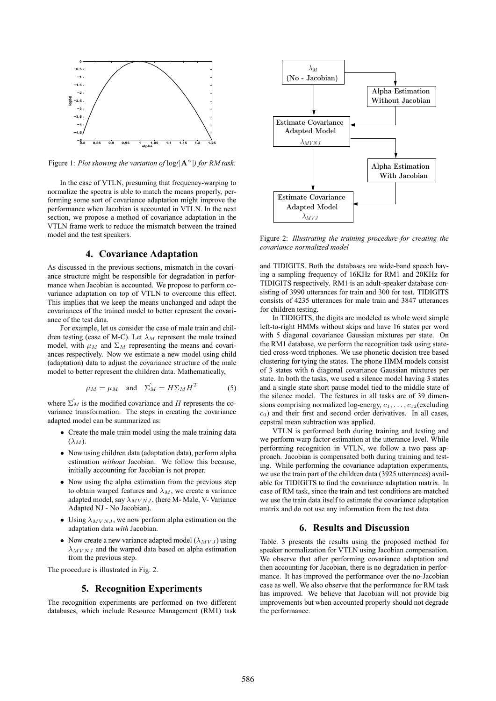

Figure 1: *Plot showing the variation of*  $log(|A^{\alpha}|)$  for RM task.

In the case of VTLN, presuming that frequency-warping to normalize the spectra is able to match the means properly, performing some sort of covariance adaptation might improve the performance when Jacobian is accounted in VTLN. In the next section, we propose a method of covariance adaptation in the VTLN frame work to reduce the mismatch between the trained model and the test speakers.

# **4. Covariance Adaptation**

As discussed in the previous sections, mismatch in the covariance structure might be responsible for degradation in performance when Jacobian is accounted. We propose to perform covariance adaptation on top of VTLN to overcome this effect. This implies that we keep the means unchanged and adapt the covariances of the trained model to better represent the covariance of the test data.

For example, let us consider the case of male train and children testing (case of M-C). Let  $\lambda_M$  represent the male trained model, with  $\mu_M$  and  $\Sigma_M$  representing the means and covariances respectively. Now we estimate a new model using child (adaptation) data to adjust the covariance structure of the male model to better represent the children data. Mathematically,

$$
\mu_M = \mu_M \quad \text{and} \quad \hat{\Sigma_M} = H \Sigma_M H^T \tag{5}
$$

where  $\sum_M$  is the modified covariance and H represents the covariance transformation. The steps in creating the covariance adapted model can be summarized as:

- Create the male train model using the male training data  $(\lambda_M)$ .
- Now using children data (adaptation data), perform alpha estimation *without* Jacobian. We follow this because, initially accounting for Jacobian is not proper.
- Now using the alpha estimation from the previous step to obtain warped features and  $\lambda_M$ , we create a variance adapted model, say  $\lambda_{MVNJ}$ , (here M- Male, V- Variance Adapted NJ - No Jacobian).
- Using  $\lambda_{MVNJ}$ , we now perform alpha estimation on the adaptation data *with* Jacobian.
- Now create a new variance adapted model  $(\lambda_{MVJ})$  using  $\lambda_{MVNJ}$  and the warped data based on alpha estimation from the previous step.

The procedure is illustrated in Fig. 2.

#### **5. Recognition Experiments**

The recognition experiments are performed on two different databases, which include Resource Management (RM1) task



Figure 2: *Illustrating the training procedure for creating the covariance normalized model*

and TIDIGITS. Both the databases are wide-band speech having a sampling frequency of 16KHz for RM1 and 20KHz for TIDIGITS respectively. RM1 is an adult-speaker database consisting of 3990 utterances for train and 300 for test. TIDIGITS consists of 4235 utterances for male train and 3847 utterances for children testing.

In TIDIGITS, the digits are modeled as whole word simple left-to-right HMMs without skips and have 16 states per word with 5 diagonal covariance Gaussian mixtures per state. On the RM1 database, we perform the recognition task using statetied cross-word triphones. We use phonetic decision tree based clustering for tying the states. The phone HMM models consist of 3 states with 6 diagonal covariance Gaussian mixtures per state. In both the tasks, we used a silence model having 3 states and a single state short pause model tied to the middle state of the silence model. The features in all tasks are of 39 dimensions comprising normalized log-energy,  $c_1, \ldots, c_{12}$  (excluding  $c<sub>0</sub>$ ) and their first and second order derivatives. In all cases, cepstral mean subtraction was applied.

VTLN is performed both during training and testing and we perform warp factor estimation at the utterance level. While performing recognition in VTLN, we follow a two pass approach. Jacobian is compensated both during training and testing. While performing the covariance adaptation experiments, we use the train part of the children data (3925 utterances) available for TIDIGITS to find the covariance adaptation matrix. In case of RM task, since the train and test conditions are matched we use the train data itself to estimate the covariance adaptation matrix and do not use any information from the test data.

#### **6. Results and Discussion**

Table. 3 presents the results using the proposed method for speaker normalization for VTLN using Jacobian compensation. We observe that after performing covariance adaptation and then accounting for Jacobian, there is no degradation in performance. It has improved the performance over the no-Jacobian case as well. We also observe that the performance for RM task has improved. We believe that Jacobian will not provide big improvements but when accounted properly should not degrade the performance.